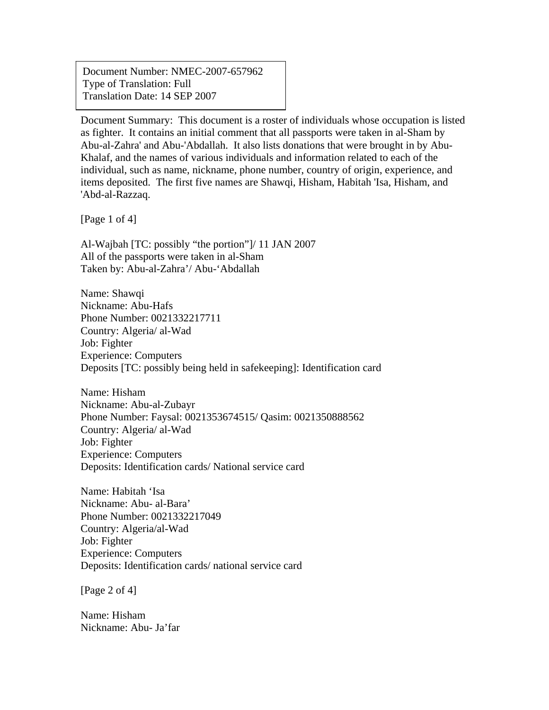Document Number: NMEC-2007-657962 Type of Translation: Full Translation Date: 14 SEP 2007

Document Summary: This document is a roster of individuals whose occupation is listed as fighter. It contains an initial comment that all passports were taken in al-Sham by Abu-al-Zahra' and Abu-'Abdallah. It also lists donations that were brought in by Abu-Khalaf, and the names of various individuals and information related to each of the individual, such as name, nickname, phone number, country of origin, experience, and items deposited. The first five names are Shawqi, Hisham, Habitah 'Isa, Hisham, and 'Abd-al-Razzaq.

[Page 1 of 4]

 $\overline{a}$ 

Al-Wajbah [TC: possibly "the portion"]/ 11 JAN 2007 All of the passports were taken in al-Sham Taken by: Abu-al-Zahra'/ Abu-'Abdallah

Name: Shawqi Nickname: Abu-Hafs Phone Number: 0021332217711 Country: Algeria/ al-Wad Job: Fighter Experience: Computers Deposits [TC: possibly being held in safekeeping]: Identification card

Name: Hisham Nickname: Abu-al-Zubayr Phone Number: Faysal: 0021353674515/ Qasim: 0021350888562 Country: Algeria/ al-Wad Job: Fighter Experience: Computers Deposits: Identification cards/ National service card

Name: Habitah 'Isa Nickname: Abu- al-Bara' Phone Number: 0021332217049 Country: Algeria/al-Wad Job: Fighter Experience: Computers Deposits: Identification cards/ national service card

[Page 2 of 4]

Name: Hisham Nickname: Abu- Ja'far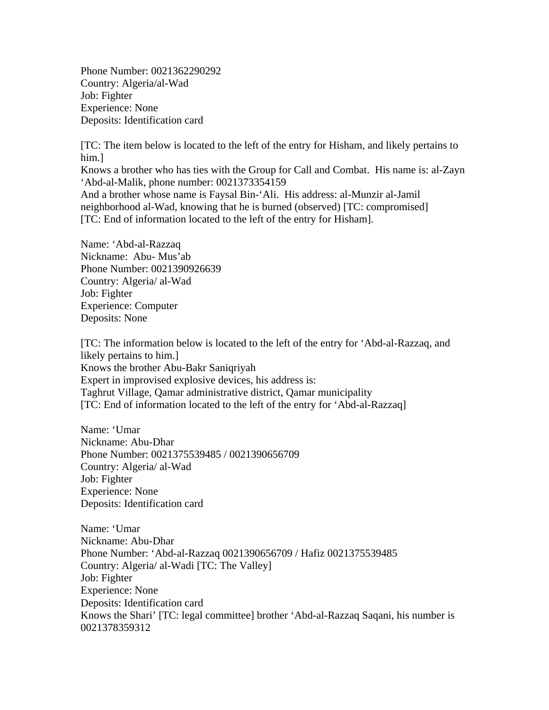Phone Number: 0021362290292 Country: Algeria/al-Wad Job: Fighter Experience: None Deposits: Identification card

[TC: The item below is located to the left of the entry for Hisham, and likely pertains to him.]

Knows a brother who has ties with the Group for Call and Combat. His name is: al-Zayn 'Abd-al-Malik, phone number: 0021373354159

And a brother whose name is Faysal Bin-'Ali. His address: al-Munzir al-Jamil neighborhood al-Wad, knowing that he is burned (observed) [TC: compromised] [TC: End of information located to the left of the entry for Hisham].

Name: 'Abd-al-Razzaq Nickname: Abu- Mus'ab Phone Number: 0021390926639 Country: Algeria/ al-Wad Job: Fighter Experience: Computer Deposits: None

[TC: The information below is located to the left of the entry for 'Abd-al-Razzaq, and likely pertains to him.] Knows the brother Abu-Bakr Saniqriyah Expert in improvised explosive devices, his address is: Taghrut Village, Qamar administrative district, Qamar municipality [TC: End of information located to the left of the entry for 'Abd-al-Razzaq]

Name: 'Umar Nickname: Abu-Dhar Phone Number: 0021375539485 / 0021390656709 Country: Algeria/ al-Wad Job: Fighter Experience: None Deposits: Identification card

Name: 'Umar Nickname: Abu-Dhar Phone Number: 'Abd-al-Razzaq 0021390656709 / Hafiz 0021375539485 Country: Algeria/ al-Wadi [TC: The Valley] Job: Fighter Experience: None Deposits: Identification card Knows the Shari' [TC: legal committee] brother 'Abd-al-Razzaq Saqani, his number is 0021378359312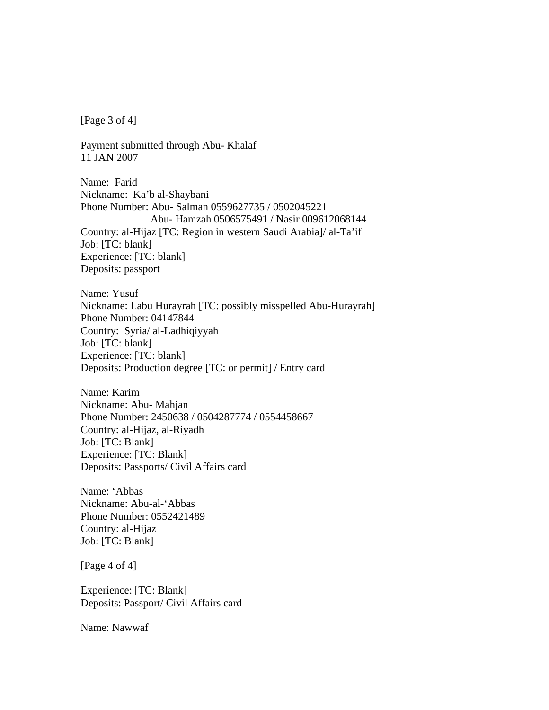[Page 3 of 4]

Payment submitted through Abu- Khalaf 11 JAN 2007

Name: Farid Nickname: Ka'b al-Shaybani Phone Number: Abu- Salman 0559627735 / 0502045221 Abu- Hamzah 0506575491 / Nasir 009612068144 Country: al-Hijaz [TC: Region in western Saudi Arabia]/ al-Ta'if Job: [TC: blank] Experience: [TC: blank] Deposits: passport

Name: Yusuf Nickname: Labu Hurayrah [TC: possibly misspelled Abu-Hurayrah] Phone Number: 04147844 Country: Syria/ al-Ladhiqiyyah Job: [TC: blank] Experience: [TC: blank] Deposits: Production degree [TC: or permit] / Entry card

Name: Karim Nickname: Abu- Mahjan Phone Number: 2450638 / 0504287774 / 0554458667 Country: al-Hijaz, al-Riyadh Job: [TC: Blank] Experience: [TC: Blank] Deposits: Passports/ Civil Affairs card

Name: 'Abbas Nickname: Abu-al-'Abbas Phone Number: 0552421489 Country: al-Hijaz Job: [TC: Blank]

[Page 4 of 4]

Experience: [TC: Blank] Deposits: Passport/ Civil Affairs card

Name: Nawwaf